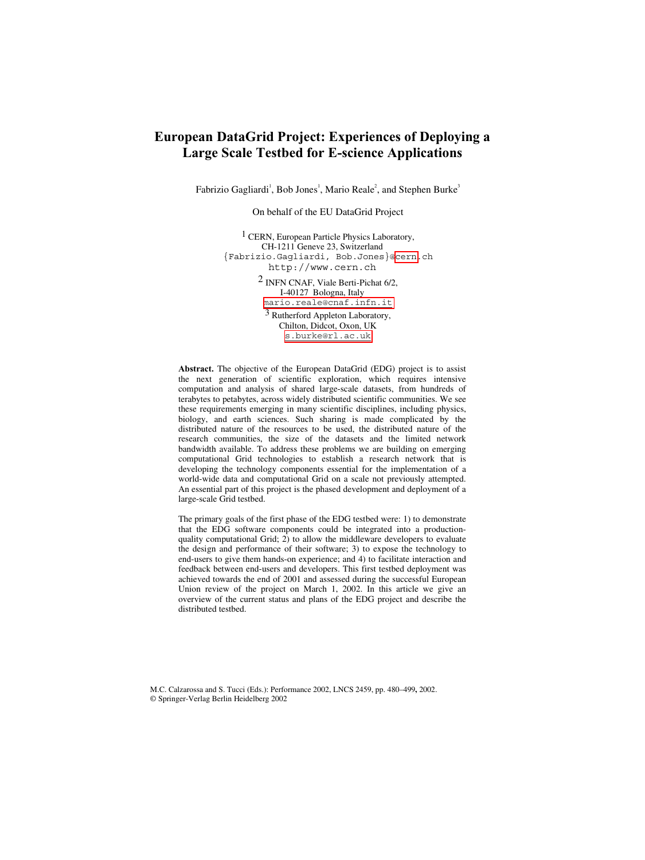# **European DataGrid Project: Experiences of Deploying a Large Scale Testbed for E-science Applications**

Fabrizio Gagliardi<sup>1</sup>, Bob Jones<sup>1</sup>, Mario Reale<sup>2</sup>, and Stephen Burke<sup>3</sup>

On behalf of the EU DataGrid Project

<sup>1</sup> CERN, European Particle Physics Laboratory, CH-1211 Geneve 23, Switzerland {Fabrizio.Gagliardi, Bob.Jones}[@cern.](mailto:fabrizio.gagliardi@cern.ch, bob.jones@cern.ch)ch http://www.cern.ch

> 2 INFN CNAF, Viale Berti-Pichat 6/2, I-40127 Bologna, Italy [mario.reale@cnaf.infn.it](mailto:mario.reale@cnaf.infn.it)

3 Rutherford Appleton Laboratory, Chilton, Didcot, Oxon, UK [s.burke@rl.ac.uk](mailto:s.burke@rl.ac.uk)

**Abstract.** The objective of the European DataGrid (EDG) project is to assist the next generation of scientific exploration, which requires intensive computation and analysis of shared large-scale datasets, from hundreds of terabytes to petabytes, across widely distributed scientific communities. We see these requirements emerging in many scientific disciplines, including physics, biology, and earth sciences. Such sharing is made complicated by the distributed nature of the resources to be used, the distributed nature of the research communities, the size of the datasets and the limited network bandwidth available. To address these problems we are building on emerging computational Grid technologies to establish a research network that is developing the technology components essential for the implementation of a world-wide data and computational Grid on a scale not previously attempted. An essential part of this project is the phased development and deployment of a large-scale Grid testbed.

The primary goals of the first phase of the EDG testbed were: 1) to demonstrate that the EDG software components could be integrated into a productionquality computational Grid; 2) to allow the middleware developers to evaluate the design and performance of their software; 3) to expose the technology to end-users to give them hands-on experience; and 4) to facilitate interaction and feedback between end-users and developers. This first testbed deployment was achieved towards the end of 2001 and assessed during the successful European Union review of the project on March 1, 2002. In this article we give an overview of the current status and plans of the EDG project and describe the distributed testbed.

M.C. Calzarossa and S. Tucci (Eds.): Performance 2002, LNCS 2459, pp. 480–499**,** 2002. © Springer-Verlag Berlin Heidelberg 2002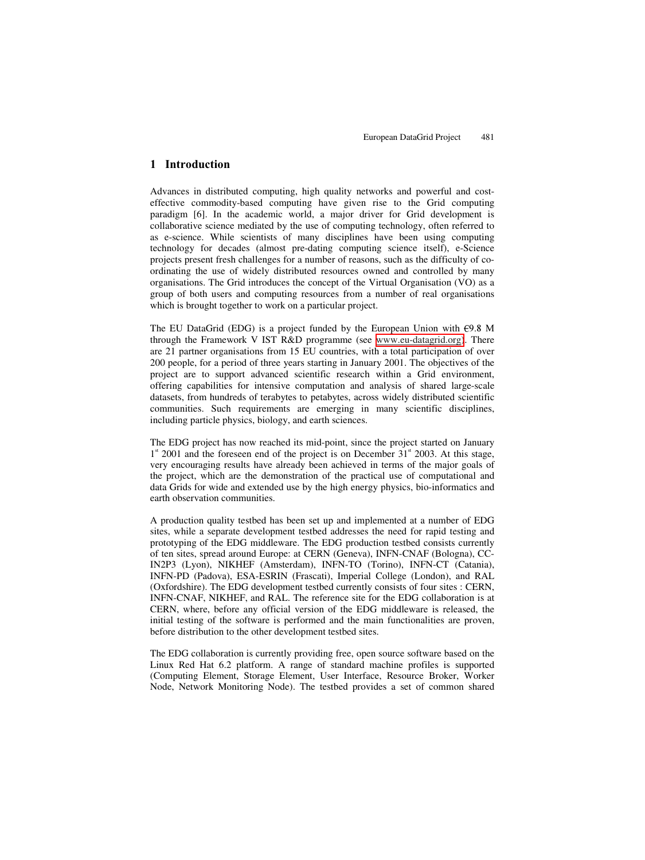### **1 Introduction**

Advances in distributed computing, high quality networks and powerful and costeffective commodity-based computing have given rise to the Grid computing paradigm [6]. In the academic world, a major driver for Grid development is collaborative science mediated by the use of computing technology, often referred to as e-science. While scientists of many disciplines have been using computing technology for decades (almost pre-dating computing science itself), e-Science projects present fresh challenges for a number of reasons, such as the difficulty of coordinating the use of widely distributed resources owned and controlled by many organisations. The Grid introduces the concept of the Virtual Organisation (VO) as a group of both users and computing resources from a number of real organisations which is brought together to work on a particular project.

The EU DataGrid (EDG) is a project funded by the European Union with  $\epsilon$ 9.8 M through the Framework V IST R&D programme (see [www.eu-datagrid.org\)](http://www.eu-datagrid.org/). There are 21 partner organisations from 15 EU countries, with a total participation of over 200 people, for a period of three years starting in January 2001. The objectives of the project are to support advanced scientific research within a Grid environment, offering capabilities for intensive computation and analysis of shared large-scale datasets, from hundreds of terabytes to petabytes, across widely distributed scientific communities. Such requirements are emerging in many scientific disciplines, including particle physics, biology, and earth sciences.

The EDG project has now reached its mid-point, since the project started on January 1<sup>st</sup> 2001 and the foreseen end of the project is on December 31<sup>st</sup> 2003. At this stage, very encouraging results have already been achieved in terms of the major goals of the project, which are the demonstration of the practical use of computational and data Grids for wide and extended use by the high energy physics, bio-informatics and earth observation communities.

A production quality testbed has been set up and implemented at a number of EDG sites, while a separate development testbed addresses the need for rapid testing and prototyping of the EDG middleware. The EDG production testbed consists currently of ten sites, spread around Europe: at CERN (Geneva), INFN-CNAF (Bologna), CC-IN2P3 (Lyon), NIKHEF (Amsterdam), INFN-TO (Torino), INFN-CT (Catania), INFN-PD (Padova), ESA-ESRIN (Frascati), Imperial College (London), and RAL (Oxfordshire). The EDG development testbed currently consists of four sites : CERN, INFN-CNAF, NIKHEF, and RAL. The reference site for the EDG collaboration is at CERN, where, before any official version of the EDG middleware is released, the initial testing of the software is performed and the main functionalities are proven, before distribution to the other development testbed sites.

The EDG collaboration is currently providing free, open source software based on the Linux Red Hat 6.2 platform. A range of standard machine profiles is supported (Computing Element, Storage Element, User Interface, Resource Broker, Worker Node, Network Monitoring Node). The testbed provides a set of common shared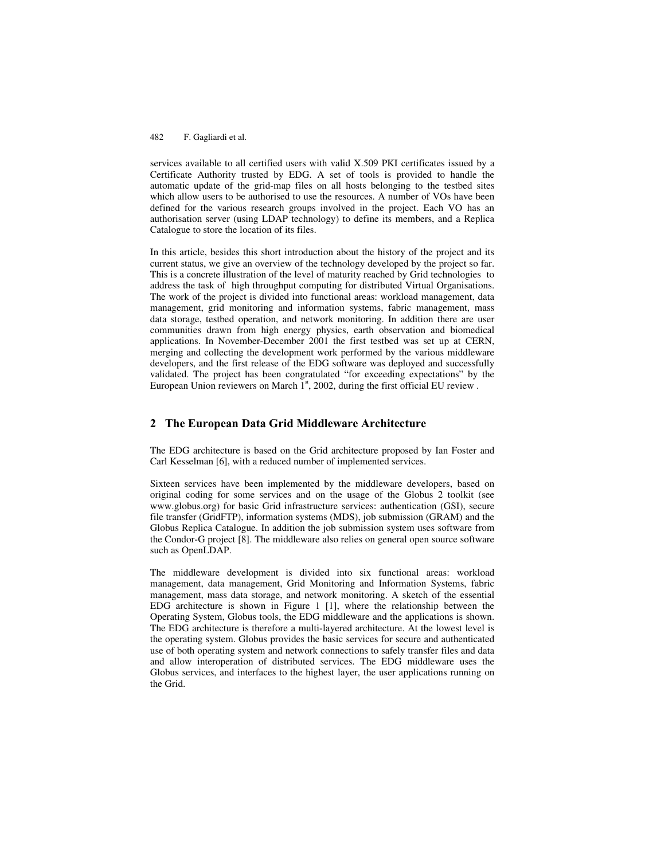services available to all certified users with valid X.509 PKI certificates issued by a Certificate Authority trusted by EDG. A set of tools is provided to handle the automatic update of the grid-map files on all hosts belonging to the testbed sites which allow users to be authorised to use the resources. A number of VOs have been defined for the various research groups involved in the project. Each VO has an authorisation server (using LDAP technology) to define its members, and a Replica Catalogue to store the location of its files.

In this article, besides this short introduction about the history of the project and its current status, we give an overview of the technology developed by the project so far. This is a concrete illustration of the level of maturity reached by Grid technologies to address the task of high throughput computing for distributed Virtual Organisations. The work of the project is divided into functional areas: workload management, data management, grid monitoring and information systems, fabric management, mass data storage, testbed operation, and network monitoring. In addition there are user communities drawn from high energy physics, earth observation and biomedical applications. In November-December 2001 the first testbed was set up at CERN, merging and collecting the development work performed by the various middleware developers, and the first release of the EDG software was deployed and successfully validated. The project has been congratulated "for exceeding expectations" by the European Union reviewers on March  $1<sup>st</sup>$ , 2002, during the first official EU review.

## **2 The European Data Grid Middleware Architecture**

The EDG architecture is based on the Grid architecture proposed by Ian Foster and Carl Kesselman [6], with a reduced number of implemented services.

Sixteen services have been implemented by the middleware developers, based on original coding for some services and on the usage of the Globus 2 toolkit (see www.globus.org) for basic Grid infrastructure services: authentication (GSI), secure file transfer (GridFTP), information systems (MDS), job submission (GRAM) and the Globus Replica Catalogue. In addition the job submission system uses software from the Condor-G project [8]. The middleware also relies on general open source software such as OpenLDAP.

The middleware development is divided into six functional areas: workload management, data management, Grid Monitoring and Information Systems, fabric management, mass data storage, and network monitoring. A sketch of the essential EDG architecture is shown in Figure 1 [1], where the relationship between the Operating System, Globus tools, the EDG middleware and the applications is shown. The EDG architecture is therefore a multi-layered architecture. At the lowest level is the operating system. Globus provides the basic services for secure and authenticated use of both operating system and network connections to safely transfer files and data and allow interoperation of distributed services. The EDG middleware uses the Globus services, and interfaces to the highest layer, the user applications running on the Grid.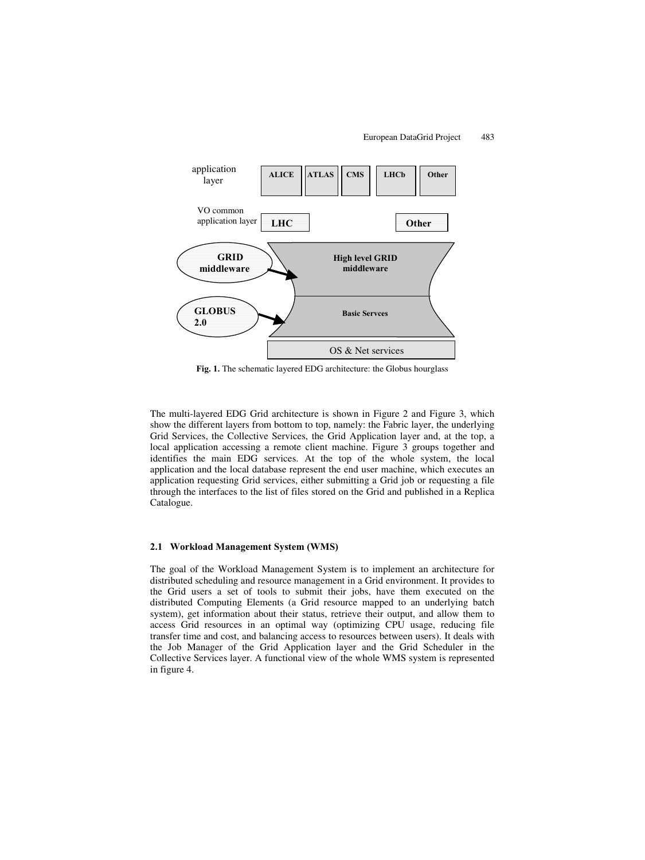

**Fig. 1.** The schematic layered EDG architecture: the Globus hourglass

The multi-layered EDG Grid architecture is shown in Figure 2 and Figure 3, which show the different layers from bottom to top, namely: the Fabric layer, the underlying Grid Services, the Collective Services, the Grid Application layer and, at the top, a local application accessing a remote client machine. Figure 3 groups together and identifies the main EDG services. At the top of the whole system, the local application and the local database represent the end user machine, which executes an application requesting Grid services, either submitting a Grid job or requesting a file through the interfaces to the list of files stored on the Grid and published in a Replica Catalogue.

### **2.1 Workload Management System (WMS)**

The goal of the Workload Management System is to implement an architecture for distributed scheduling and resource management in a Grid environment. It provides to the Grid users a set of tools to submit their jobs, have them executed on the distributed Computing Elements (a Grid resource mapped to an underlying batch system), get information about their status, retrieve their output, and allow them to access Grid resources in an optimal way (optimizing CPU usage, reducing file transfer time and cost, and balancing access to resources between users). It deals with the Job Manager of the Grid Application layer and the Grid Scheduler in the Collective Services layer. A functional view of the whole WMS system is represented in figure 4.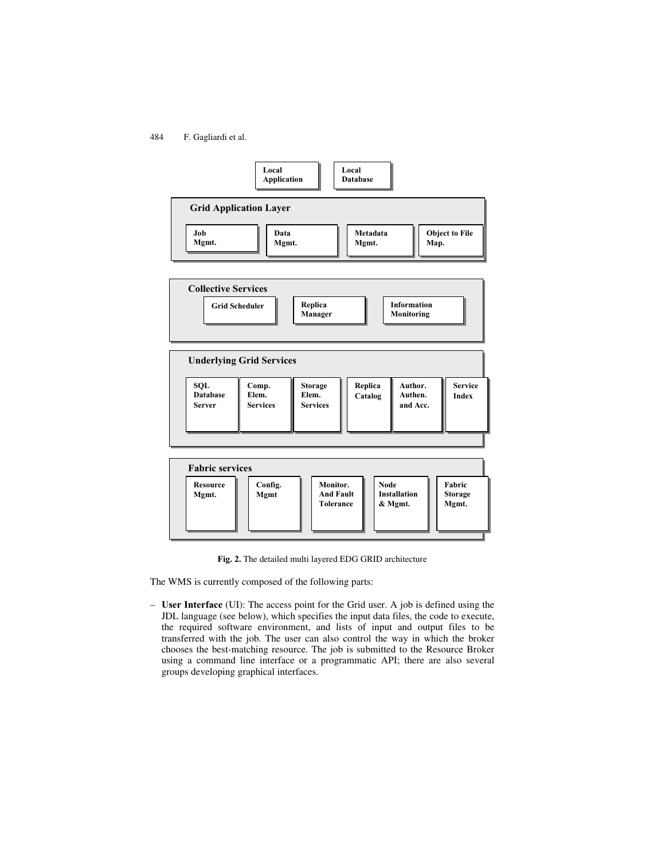

**Fig. 2.** The detailed multi layered EDG GRID architecture

The WMS is currently composed of the following parts:

– **User Interface** (UI): The access point for the Grid user. A job is defined using the JDL language (see below), which specifies the input data files, the code to execute, the required software environment, and lists of input and output files to be transferred with the job. The user can also control the way in which the broker chooses the best-matching resource. The job is submitted to the Resource Broker using a command line interface or a programmatic API; there are also several groups developing graphical interfaces.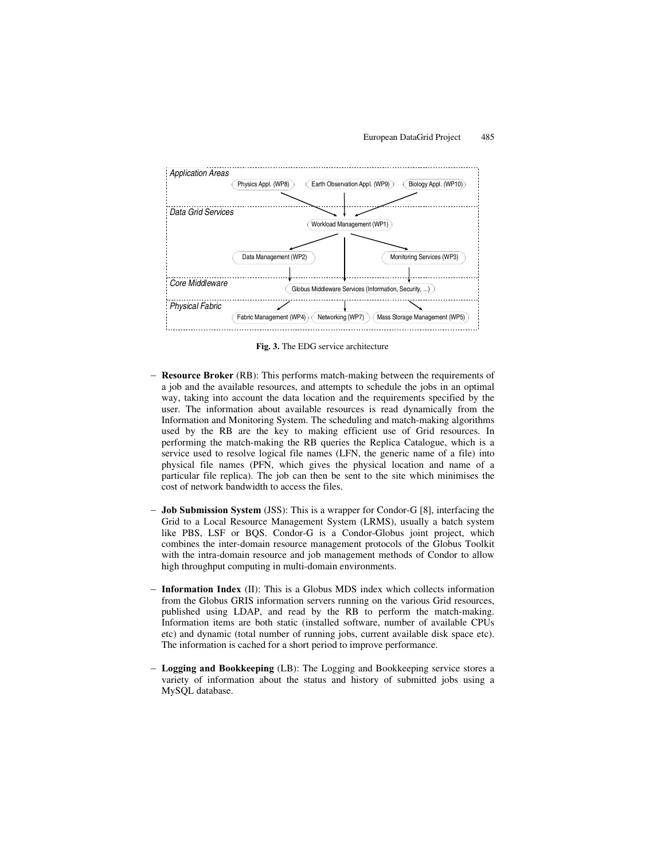

**Fig. 3.** The EDG service architecture

- **Resource Broker** (RB): This performs match-making between the requirements of a job and the available resources, and attempts to schedule the jobs in an optimal way, taking into account the data location and the requirements specified by the user. The information about available resources is read dynamically from the Information and Monitoring System. The scheduling and match-making algorithms used by the RB are the key to making efficient use of Grid resources. In performing the match-making the RB queries the Replica Catalogue, which is a service used to resolve logical file names (LFN, the generic name of a file) into physical file names (PFN, which gives the physical location and name of a particular file replica). The job can then be sent to the site which minimises the cost of network bandwidth to access the files.
- **Job Submission System** (JSS): This is a wrapper for Condor-G [8], interfacing the Grid to a Local Resource Management System (LRMS), usually a batch system like PBS, LSF or BQS. Condor-G is a Condor-Globus joint project, which combines the inter-domain resource management protocols of the Globus Toolkit with the intra-domain resource and job management methods of Condor to allow high throughput computing in multi-domain environments.
- **Information Index** (II): This is a Globus MDS index which collects information from the Globus GRIS information servers running on the various Grid resources, published using LDAP, and read by the RB to perform the match-making. Information items are both static (installed software, number of available CPUs etc) and dynamic (total number of running jobs, current available disk space etc). The information is cached for a short period to improve performance.
- **Logging and Bookkeeping** (LB): The Logging and Bookkeeping service stores a variety of information about the status and history of submitted jobs using a MySQL database.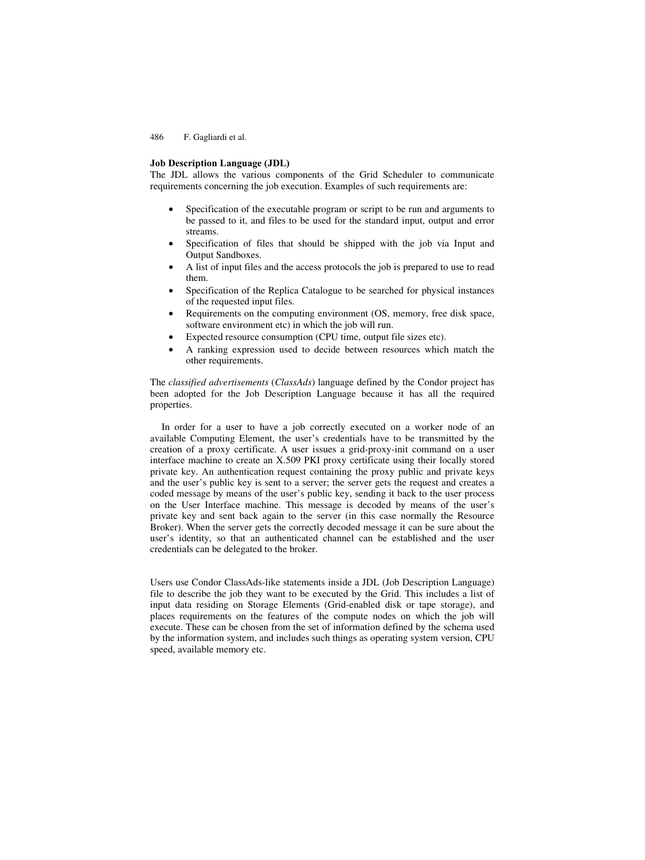### **Job Description Language (JDL)**

The JDL allows the various components of the Grid Scheduler to communicate requirements concerning the job execution. Examples of such requirements are:

- - Specification of the executable program or script to be run and arguments to be passed to it, and files to be used for the standard input, output and error streams.
- - Specification of files that should be shipped with the job via Input and Output Sandboxes.
- $\bullet$  A list of input files and the access protocols the job is prepared to use to read them.
- - Specification of the Replica Catalogue to be searched for physical instances of the requested input files.
- $\bullet$  Requirements on the computing environment (OS, memory, free disk space, software environment etc) in which the job will run.
- -Expected resource consumption (CPU time, output file sizes etc).
- - A ranking expression used to decide between resources which match the other requirements.

The *classified advertisements* (*ClassAds*) language defined by the Condor project has been adopted for the Job Description Language because it has all the required properties.

In order for a user to have a job correctly executed on a worker node of an available Computing Element, the user's credentials have to be transmitted by the creation of a proxy certificate. A user issues a grid-proxy-init command on a user interface machine to create an X.509 PKI proxy certificate using their locally stored private key. An authentication request containing the proxy public and private keys and the user's public key is sent to a server; the server gets the request and creates a coded message by means of the user's public key, sending it back to the user process on the User Interface machine. This message is decoded by means of the user's private key and sent back again to the server (in this case normally the Resource Broker). When the server gets the correctly decoded message it can be sure about the user's identity, so that an authenticated channel can be established and the user credentials can be delegated to the broker.

Users use Condor ClassAds-like statements inside a JDL (Job Description Language) file to describe the job they want to be executed by the Grid. This includes a list of input data residing on Storage Elements (Grid-enabled disk or tape storage), and places requirements on the features of the compute nodes on which the job will execute. These can be chosen from the set of information defined by the schema used by the information system, and includes such things as operating system version, CPU speed, available memory etc.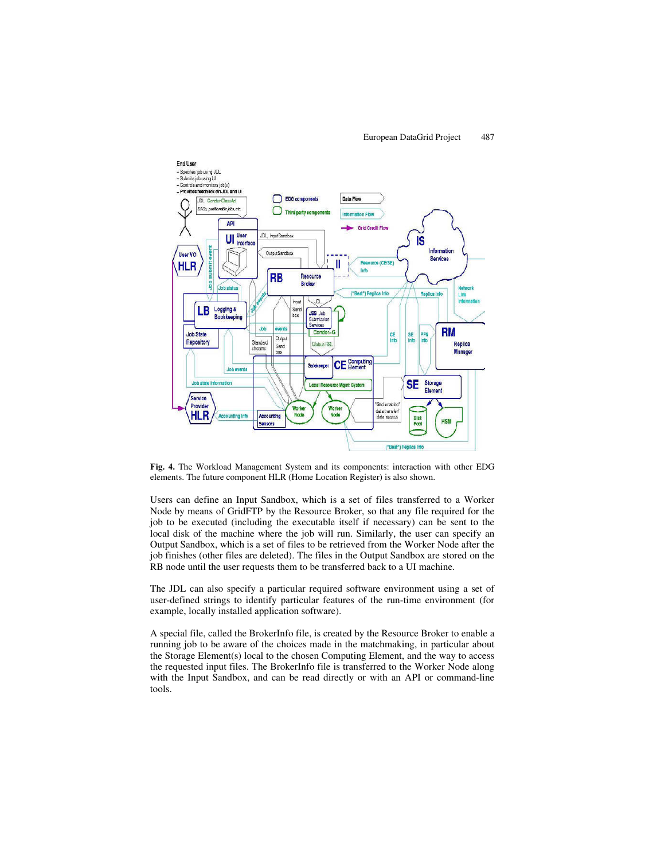

**Fig. 4.** The Workload Management System and its components: interaction with other EDG elements. The future component HLR (Home Location Register) is also shown.

Users can define an Input Sandbox, which is a set of files transferred to a Worker Node by means of GridFTP by the Resource Broker, so that any file required for the job to be executed (including the executable itself if necessary) can be sent to the local disk of the machine where the job will run. Similarly, the user can specify an Output Sandbox, which is a set of files to be retrieved from the Worker Node after the job finishes (other files are deleted). The files in the Output Sandbox are stored on the RB node until the user requests them to be transferred back to a UI machine.

The JDL can also specify a particular required software environment using a set of user-defined strings to identify particular features of the run-time environment (for example, locally installed application software).

A special file, called the BrokerInfo file, is created by the Resource Broker to enable a running job to be aware of the choices made in the matchmaking, in particular about the Storage Element(s) local to the chosen Computing Element, and the way to access the requested input files. The BrokerInfo file is transferred to the Worker Node along with the Input Sandbox, and can be read directly or with an API or command-line tools.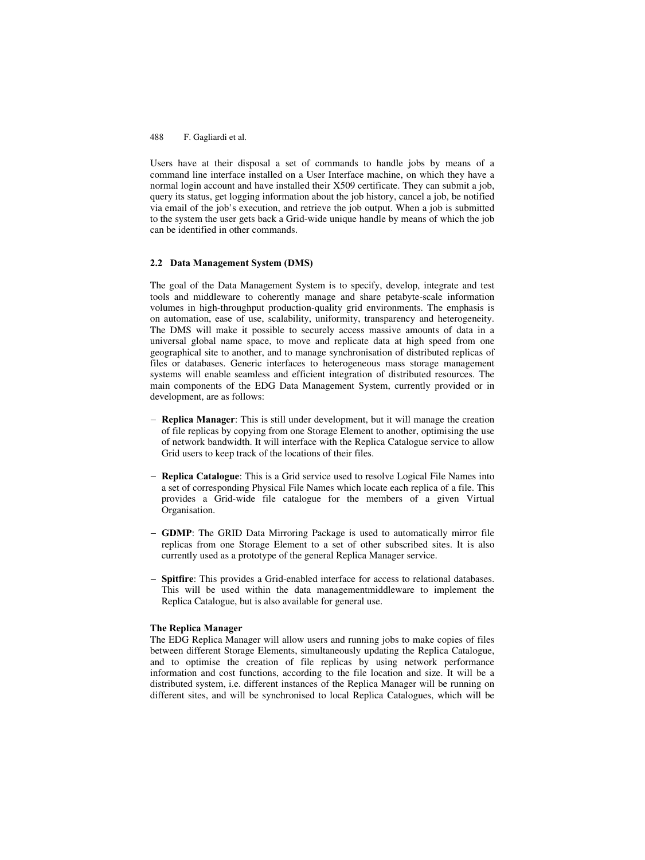Users have at their disposal a set of commands to handle jobs by means of a command line interface installed on a User Interface machine, on which they have a normal login account and have installed their X509 certificate. They can submit a job, query its status, get logging information about the job history, cancel a job, be notified via email of the job's execution, and retrieve the job output. When a job is submitted to the system the user gets back a Grid-wide unique handle by means of which the job can be identified in other commands.

#### **2.2 Data Management System (DMS)**

The goal of the Data Management System is to specify, develop, integrate and test tools and middleware to coherently manage and share petabyte-scale information volumes in high-throughput production-quality grid environments. The emphasis is on automation, ease of use, scalability, uniformity, transparency and heterogeneity. The DMS will make it possible to securely access massive amounts of data in a universal global name space, to move and replicate data at high speed from one geographical site to another, and to manage synchronisation of distributed replicas of files or databases. Generic interfaces to heterogeneous mass storage management systems will enable seamless and efficient integration of distributed resources. The main components of the EDG Data Management System, currently provided or in development, are as follows:

- **Replica Manager**: This is still under development, but it will manage the creation of file replicas by copying from one Storage Element to another, optimising the use of network bandwidth. It will interface with the Replica Catalogue service to allow Grid users to keep track of the locations of their files.
- **Replica Catalogue**: This is a Grid service used to resolve Logical File Names into a set of corresponding Physical File Names which locate each replica of a file. This provides a Grid-wide file catalogue for the members of a given Virtual Organisation.
- **GDMP**: The GRID Data Mirroring Package is used to automatically mirror file replicas from one Storage Element to a set of other subscribed sites. It is also currently used as a prototype of the general Replica Manager service.
- **Spitfire**: This provides a Grid-enabled interface for access to relational databases. This will be used within the data managementmiddleware to implement the Replica Catalogue, but is also available for general use.

### **The Replica Manager**

The EDG Replica Manager will allow users and running jobs to make copies of files between different Storage Elements, simultaneously updating the Replica Catalogue, and to optimise the creation of file replicas by using network performance information and cost functions, according to the file location and size. It will be a distributed system, i.e. different instances of the Replica Manager will be running on different sites, and will be synchronised to local Replica Catalogues, which will be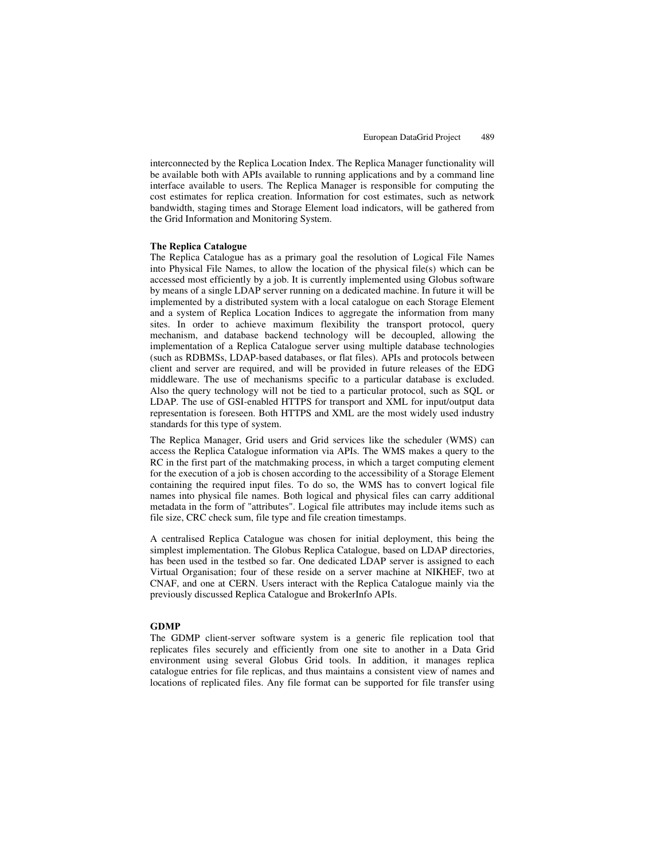interconnected by the Replica Location Index. The Replica Manager functionality will be available both with APIs available to running applications and by a command line interface available to users. The Replica Manager is responsible for computing the cost estimates for replica creation. Information for cost estimates, such as network bandwidth, staging times and Storage Element load indicators, will be gathered from the Grid Information and Monitoring System.

#### **The Replica Catalogue**

The Replica Catalogue has as a primary goal the resolution of Logical File Names into Physical File Names, to allow the location of the physical file(s) which can be accessed most efficiently by a job. It is currently implemented using Globus software by means of a single LDAP server running on a dedicated machine. In future it will be implemented by a distributed system with a local catalogue on each Storage Element and a system of Replica Location Indices to aggregate the information from many sites. In order to achieve maximum flexibility the transport protocol, query mechanism, and database backend technology will be decoupled, allowing the implementation of a Replica Catalogue server using multiple database technologies (such as RDBMSs, LDAP-based databases, or flat files). APIs and protocols between client and server are required, and will be provided in future releases of the EDG middleware. The use of mechanisms specific to a particular database is excluded. Also the query technology will not be tied to a particular protocol, such as SQL or LDAP. The use of GSI-enabled HTTPS for transport and XML for input/output data representation is foreseen. Both HTTPS and XML are the most widely used industry standards for this type of system.

The Replica Manager, Grid users and Grid services like the scheduler (WMS) can access the Replica Catalogue information via APIs. The WMS makes a query to the RC in the first part of the matchmaking process, in which a target computing element for the execution of a job is chosen according to the accessibility of a Storage Element containing the required input files. To do so, the WMS has to convert logical file names into physical file names. Both logical and physical files can carry additional metadata in the form of "attributes". Logical file attributes may include items such as file size, CRC check sum, file type and file creation timestamps.

A centralised Replica Catalogue was chosen for initial deployment, this being the simplest implementation. The Globus Replica Catalogue, based on LDAP directories, has been used in the testbed so far. One dedicated LDAP server is assigned to each Virtual Organisation; four of these reside on a server machine at NIKHEF, two at CNAF, and one at CERN. Users interact with the Replica Catalogue mainly via the previously discussed Replica Catalogue and BrokerInfo APIs.

#### **GDMP**

The GDMP client-server software system is a generic file replication tool that replicates files securely and efficiently from one site to another in a Data Grid environment using several Globus Grid tools. In addition, it manages replica catalogue entries for file replicas, and thus maintains a consistent view of names and locations of replicated files. Any file format can be supported for file transfer using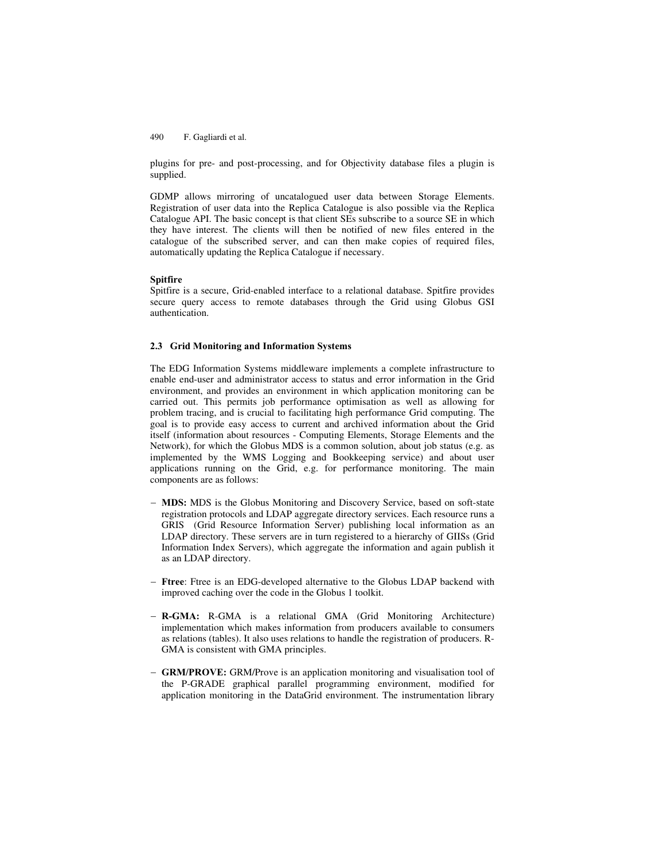plugins for pre- and post-processing, and for Objectivity database files a plugin is supplied.

GDMP allows mirroring of uncatalogued user data between Storage Elements. Registration of user data into the Replica Catalogue is also possible via the Replica Catalogue API. The basic concept is that client SEs subscribe to a source SE in which they have interest. The clients will then be notified of new files entered in the catalogue of the subscribed server, and can then make copies of required files, automatically updating the Replica Catalogue if necessary.

#### **Spitfire**

Spitfire is a secure, Grid-enabled interface to a relational database. Spitfire provides secure query access to remote databases through the Grid using Globus GSI authentication.

#### **2.3 Grid Monitoring and Information Systems**

The EDG Information Systems middleware implements a complete infrastructure to enable end-user and administrator access to status and error information in the Grid environment, and provides an environment in which application monitoring can be carried out. This permits job performance optimisation as well as allowing for problem tracing, and is crucial to facilitating high performance Grid computing. The goal is to provide easy access to current and archived information about the Grid itself (information about resources - Computing Elements, Storage Elements and the Network), for which the Globus MDS is a common solution, about job status (e.g. as implemented by the WMS Logging and Bookkeeping service) and about user applications running on the Grid, e.g. for performance monitoring. The main components are as follows:

- **MDS:** MDS is the Globus Monitoring and Discovery Service, based on soft-state registration protocols and LDAP aggregate directory services. Each resource runs a GRIS (Grid Resource Information Server) publishing local information as an LDAP directory. These servers are in turn registered to a hierarchy of GIISs (Grid Information Index Servers), which aggregate the information and again publish it as an LDAP directory.
- **Ftree**: Ftree is an EDG-developed alternative to the Globus LDAP backend with improved caching over the code in the Globus 1 toolkit.
- **R-GMA:** R-GMA is a relational GMA (Grid Monitoring Architecture) implementation which makes information from producers available to consumers as relations (tables). It also uses relations to handle the registration of producers. R-GMA is consistent with GMA principles.
- **GRM/PROVE:** GRM/Prove is an application monitoring and visualisation tool of the P-GRADE graphical parallel programming environment, modified for application monitoring in the DataGrid environment. The instrumentation library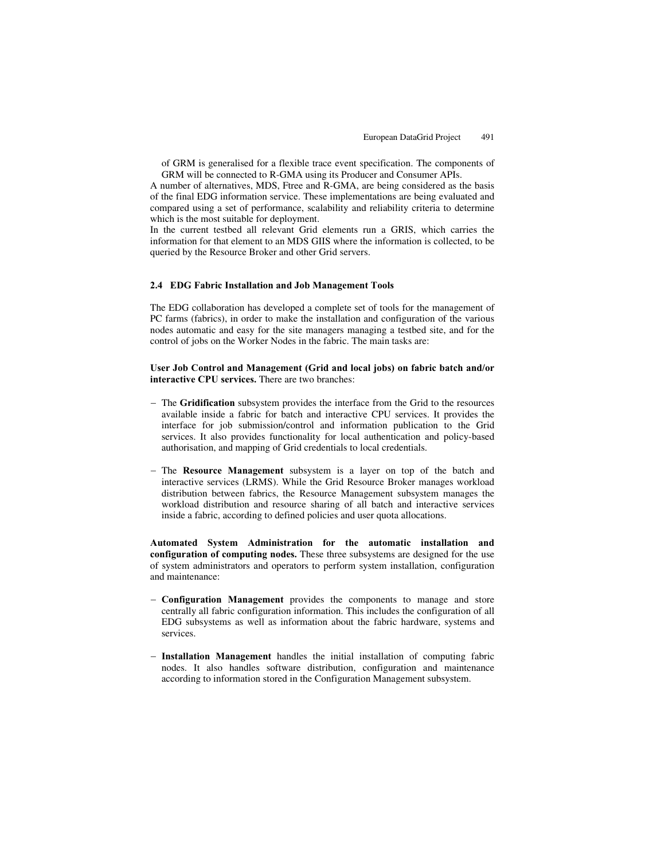of GRM is generalised for a flexible trace event specification. The components of GRM will be connected to R-GMA using its Producer and Consumer APIs.

A number of alternatives, MDS, Ftree and R-GMA, are being considered as the basis of the final EDG information service. These implementations are being evaluated and compared using a set of performance, scalability and reliability criteria to determine which is the most suitable for deployment.

In the current testbed all relevant Grid elements run a GRIS, which carries the information for that element to an MDS GIIS where the information is collected, to be queried by the Resource Broker and other Grid servers.

#### **2.4 EDG Fabric Installation and Job Management Tools**

The EDG collaboration has developed a complete set of tools for the management of PC farms (fabrics), in order to make the installation and configuration of the various nodes automatic and easy for the site managers managing a testbed site, and for the control of jobs on the Worker Nodes in the fabric. The main tasks are:

### **User Job Control and Management (Grid and local jobs) on fabric batch and/or interactive CPU services.** There are two branches:

- The **Gridification** subsystem provides the interface from the Grid to the resources available inside a fabric for batch and interactive CPU services. It provides the interface for job submission/control and information publication to the Grid services. It also provides functionality for local authentication and policy-based authorisation, and mapping of Grid credentials to local credentials.
- The **Resource Management** subsystem is a layer on top of the batch and interactive services (LRMS). While the Grid Resource Broker manages workload distribution between fabrics, the Resource Management subsystem manages the workload distribution and resource sharing of all batch and interactive services inside a fabric, according to defined policies and user quota allocations.

**Automated System Administration for the automatic installation and configuration of computing nodes.** These three subsystems are designed for the use of system administrators and operators to perform system installation, configuration and maintenance:

- **Configuration Management** provides the components to manage and store centrally all fabric configuration information. This includes the configuration of all EDG subsystems as well as information about the fabric hardware, systems and services.
- **Installation Management** handles the initial installation of computing fabric nodes. It also handles software distribution, configuration and maintenance according to information stored in the Configuration Management subsystem.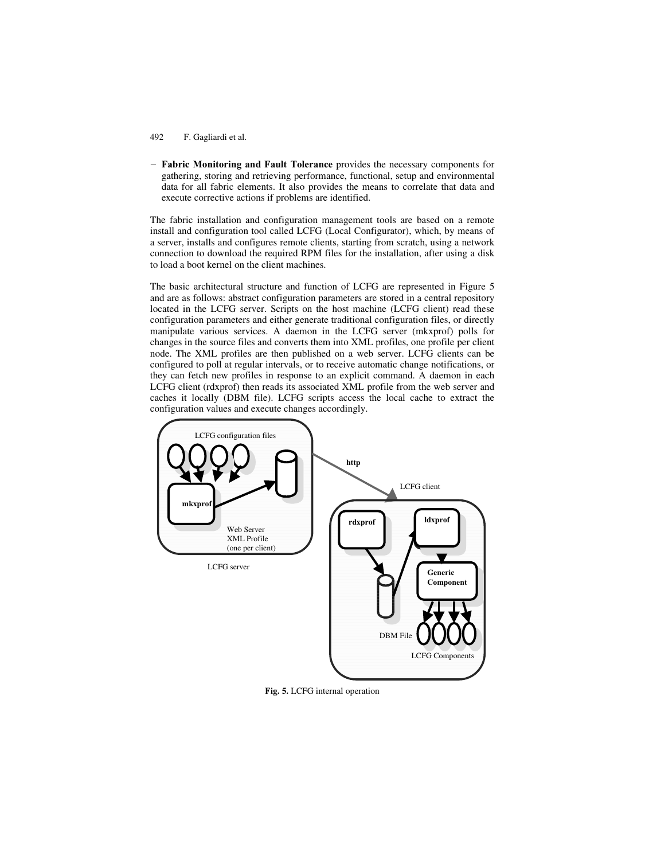**Fabric Monitoring and Fault Tolerance** provides the necessary components for gathering, storing and retrieving performance, functional, setup and environmental data for all fabric elements. It also provides the means to correlate that data and execute corrective actions if problems are identified.

The fabric installation and configuration management tools are based on a remote install and configuration tool called LCFG (Local Configurator), which, by means of a server, installs and configures remote clients, starting from scratch, using a network connection to download the required RPM files for the installation, after using a disk to load a boot kernel on the client machines.

The basic architectural structure and function of LCFG are represented in Figure 5 and are as follows: abstract configuration parameters are stored in a central repository located in the LCFG server. Scripts on the host machine (LCFG client) read these configuration parameters and either generate traditional configuration files, or directly manipulate various services. A daemon in the LCFG server (mkxprof) polls for changes in the source files and converts them into XML profiles, one profile per client node. The XML profiles are then published on a web server. LCFG clients can be configured to poll at regular intervals, or to receive automatic change notifications, or they can fetch new profiles in response to an explicit command. A daemon in each LCFG client (rdxprof) then reads its associated XML profile from the web server and caches it locally (DBM file). LCFG scripts access the local cache to extract the configuration values and execute changes accordingly.



**Fig. 5.** LCFG internal operation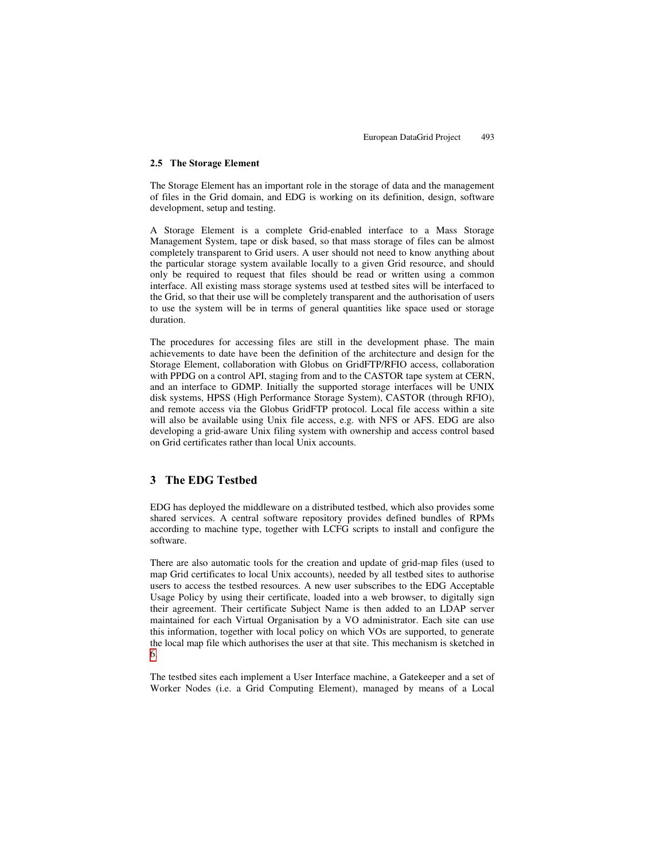#### **2.5 The Storage Element**

The Storage Element has an important role in the storage of data and the management of files in the Grid domain, and EDG is working on its definition, design, software development, setup and testing.

A Storage Element is a complete Grid-enabled interface to a Mass Storage Management System, tape or disk based, so that mass storage of files can be almost completely transparent to Grid users. A user should not need to know anything about the particular storage system available locally to a given Grid resource, and should only be required to request that files should be read or written using a common interface. All existing mass storage systems used at testbed sites will be interfaced to the Grid, so that their use will be completely transparent and the authorisation of users to use the system will be in terms of general quantities like space used or storage duration.

The procedures for accessing files are still in the development phase. The main achievements to date have been the definition of the architecture and design for the Storage Element, collaboration with Globus on GridFTP/RFIO access, collaboration with PPDG on a control API, staging from and to the CASTOR tape system at CERN, and an interface to GDMP. Initially the supported storage interfaces will be UNIX disk systems, HPSS (High Performance Storage System), CASTOR (through RFIO), and remote access via the Globus GridFTP protocol. Local file access within a site will also be available using Unix file access, e.g. with NFS or AFS. EDG are also developing a grid-aware Unix filing system with ownership and access control based on Grid certificates rather than local Unix accounts.

## **3 The EDG Testbed**

EDG has deployed the middleware on a distributed testbed, which also provides some shared services. A central software repository provides defined bundles of RPMs according to machine type, together with LCFG scripts to install and configure the software.

There are also automatic tools for the creation and update of grid-map files (used to map Grid certificates to local Unix accounts), needed by all testbed sites to authorise users to access the testbed resources. A new user subscribes to the EDG Acceptable Usage Policy by using their certificate, loaded into a web browser, to digitally sign their agreement. Their certificate Subject Name is then added to an LDAP server maintained for each Virtual Organisation by a VO administrator. Each site can use this information, together with local policy on which VOs are supported, to generate the local map file which authorises the user at that site. This mechanism is sketched in [6.](#page-14-0)

The testbed sites each implement a User Interface machine, a Gatekeeper and a set of Worker Nodes (i.e. a Grid Computing Element), managed by means of a Local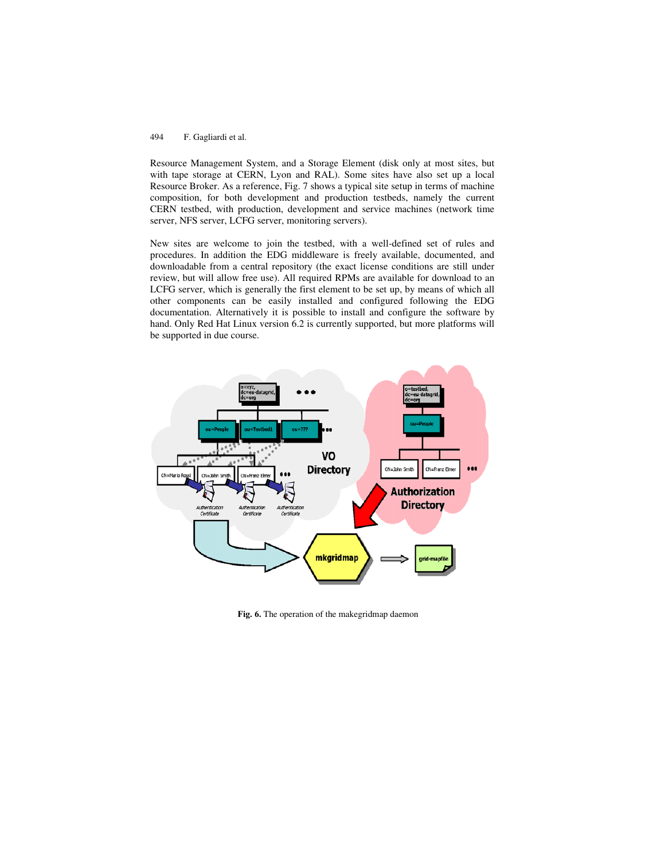<span id="page-14-0"></span>Resource Management System, and a Storage Element (disk only at most sites, but with tape storage at CERN, Lyon and RAL). Some sites have also set up a local Resource Broker. As a reference, Fig. 7 shows a typical site setup in terms of machine composition, for both development and production testbeds, namely the current CERN testbed, with production, development and service machines (network time server, NFS server, LCFG server, monitoring servers).

New sites are welcome to join the testbed, with a well-defined set of rules and procedures. In addition the EDG middleware is freely available, documented, and downloadable from a central repository (the exact license conditions are still under review, but will allow free use). All required RPMs are available for download to an LCFG server, which is generally the first element to be set up, by means of which all other components can be easily installed and configured following the EDG documentation. Alternatively it is possible to install and configure the software by hand. Only Red Hat Linux version 6.2 is currently supported, but more platforms will be supported in due course.



**Fig. 6.** The operation of the makegridmap daemon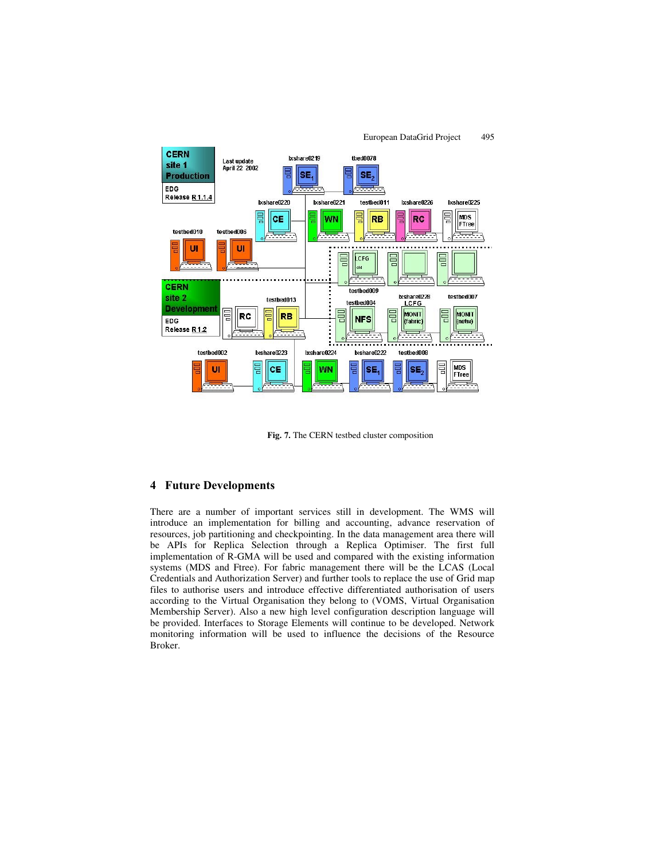

**Fig. 7.** The CERN testbed cluster composition

## **4 Future Developments**

There are a number of important services still in development. The WMS will introduce an implementation for billing and accounting, advance reservation of resources, job partitioning and checkpointing. In the data management area there will be APIs for Replica Selection through a Replica Optimiser. The first full implementation of R-GMA will be used and compared with the existing information systems (MDS and Ftree). For fabric management there will be the LCAS (Local Credentials and Authorization Server) and further tools to replace the use of Grid map files to authorise users and introduce effective differentiated authorisation of users according to the Virtual Organisation they belong to (VOMS, Virtual Organisation Membership Server). Also a new high level configuration description language will be provided. Interfaces to Storage Elements will continue to be developed. Network monitoring information will be used to influence the decisions of the Resource Broker.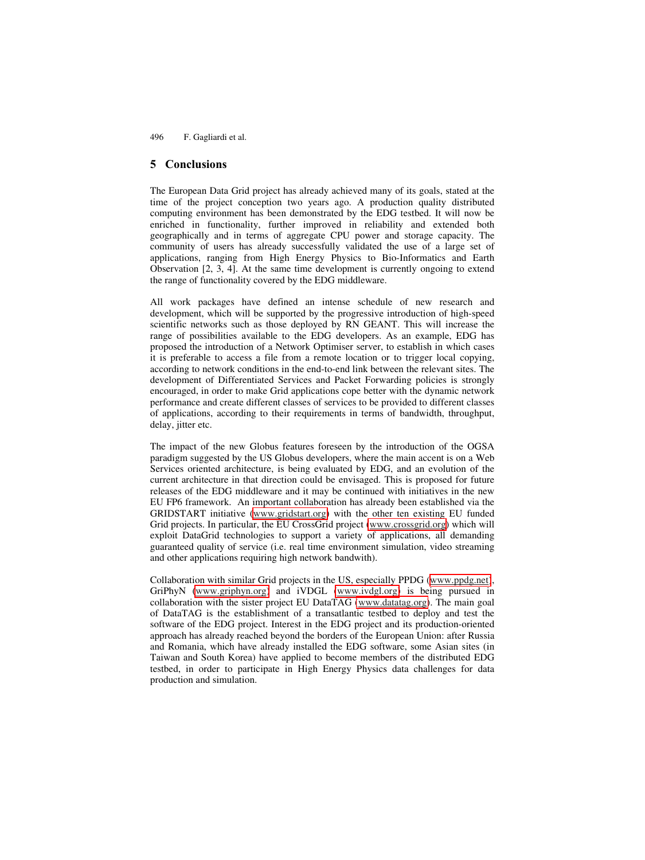### **5 Conclusions**

The European Data Grid project has already achieved many of its goals, stated at the time of the project conception two years ago. A production quality distributed computing environment has been demonstrated by the EDG testbed. It will now be enriched in functionality, further improved in reliability and extended both geographically and in terms of aggregate CPU power and storage capacity. The community of users has already successfully validated the use of a large set of applications, ranging from High Energy Physics to Bio-Informatics and Earth Observation [2, 3, 4]. At the same time development is currently ongoing to extend the range of functionality covered by the EDG middleware.

All work packages have defined an intense schedule of new research and development, which will be supported by the progressive introduction of high-speed scientific networks such as those deployed by RN GEANT. This will increase the range of possibilities available to the EDG developers. As an example, EDG has proposed the introduction of a Network Optimiser server, to establish in which cases it is preferable to access a file from a remote location or to trigger local copying, according to network conditions in the end-to-end link between the relevant sites. The development of Differentiated Services and Packet Forwarding policies is strongly encouraged, in order to make Grid applications cope better with the dynamic network performance and create different classes of services to be provided to different classes of applications, according to their requirements in terms of bandwidth, throughput, delay, jitter etc.

The impact of the new Globus features foreseen by the introduction of the OGSA paradigm suggested by the US Globus developers, where the main accent is on a Web Services oriented architecture, is being evaluated by EDG, and an evolution of the current architecture in that direction could be envisaged. This is proposed for future releases of the EDG middleware and it may be continued with initiatives in the new EU FP6 framework. An important collaboration has already been established via the GRIDSTART initiative [\(www.gridstart.org\)](http://www.gridstart.org/) with the other ten existing EU funded Grid projects. In particular, the EU CrossGrid project [\(www.crossgrid.org\)](http://www.crossgrid.org/) which will exploit DataGrid technologies to support a variety of applications, all demanding guaranteed quality of service (i.e. real time environment simulation, video streaming and other applications requiring high network bandwith).

Collaboration with similar Grid projects in the US, especially PPDG ([www.ppdg.net\)](http://www.ppdg.net/), GriPhyN [\(www.griphyn.org\)](http://www.griphyn.org/) and iVDGL [\(www.ivdgl.org\)](http://www.ivdl.org/) is being pursued in collaboration with the sister project EU DataTAG [\(www.datatag.org\)](http://www.eu-datatag.org/). The main goal of DataTAG is the establishment of a transatlantic testbed to deploy and test the software of the EDG project. Interest in the EDG project and its production-oriented approach has already reached beyond the borders of the European Union: after Russia and Romania, which have already installed the EDG software, some Asian sites (in Taiwan and South Korea) have applied to become members of the distributed EDG testbed, in order to participate in High Energy Physics data challenges for data production and simulation.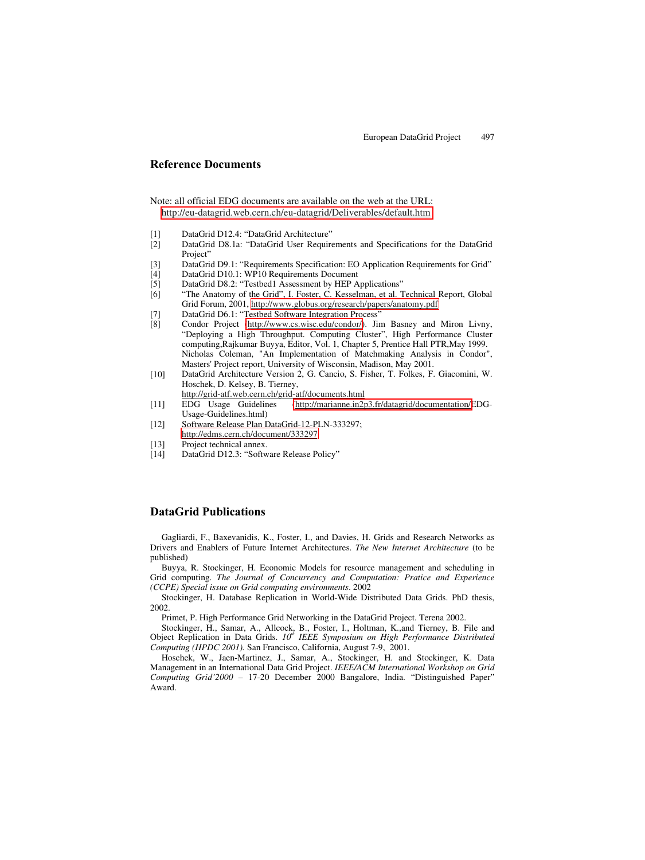## **Reference Documents**

Note: all official EDG documents are available on the web at the URL: <http://eu-datagrid.web.cern.ch/eu-datagrid/Deliverables/default.htm>

- [1] DataGrid D12.4: "DataGrid Architecture"
- [2] DataGrid D8.1a: "DataGrid User Requirements and Specifications for the DataGrid Project"
- [3] DataGrid D9.1: "Requirements Specification: EO Application Requirements for Grid"
- [4] DataGrid D10.1: WP10 Requirements Document<br>[5] DataGrid D8.2: "Testbed1 Assessment by HEP A
- DataGrid D8.2: "Testbed1 Assessment by HEP Applications"
- [6] "The Anatomy of the Grid", I. Foster, C. Kesselman, et al. Technical Report, Global Grid Forum, 2001,<http://www.globus.org/research/papers/anatomy.pdf>
- [7] DataGrid D6.1: "Testbed Software Integration Process"<br>
[8] Condor Project (http://www.cs.wisc.edu/condor/). Jir
- Condor Project [\(http://www.cs.wisc.edu/condor/\)](http://www.cs.wisc.edu/condor/). Jim Basney and Miron Livny, "Deploying a High Throughput. Computing Cluster", High Performance Cluster computing,Rajkumar Buyya, Editor, Vol. 1, Chapter 5, Prentice Hall PTR,May 1999. Nicholas Coleman, "An Implementation of Matchmaking Analysis in Condor", Masters' Project report, University of Wisconsin, Madison, May 2001.
- [10] DataGrid Architecture Version 2, G. Cancio, S. Fisher, T. Folkes, F. Giacomini, W. Hoschek, D. Kelsey, B. Tierney,
	- http://grid-atf.web.cern.ch/grid-atf/documents.html<br>EDG Usage Guidelines (http://marianne.in2p
- [11] EDG Usage Guidelines [\(http://marianne.in2p3.fr/datagrid/documentation/E](http://marianne.in2p3.fr/datagrid/documentation/)DG-Usage-Guidelines.html)
- [12] Software Release Plan DataGrid-12-PLN-333297;
- <http://edms.cern.ch/document/333297>
- [13] Project technical annex.
- [14] DataGrid D12.3: "Software Release Policy"

## **DataGrid Publications**

Gagliardi, F., Baxevanidis, K., Foster, I., and Davies, H. Grids and Research Networks as Drivers and Enablers of Future Internet Architectures. *The New Internet Architecture* (to be published)

Buyya, R. Stockinger, H. Economic Models for resource management and scheduling in Grid computing. *The Journal of Concurrency and Computation: Pratice and Experience (CCPE) Special issue on Grid computing environments*. 2002

Stockinger, H. Database Replication in World-Wide Distributed Data Grids. PhD thesis, 2002.

Primet, P. High Performance Grid Networking in the DataGrid Project. Terena 2002.

Stockinger, H., Samar, A., Allcock, B., Foster, I., Holtman, K.,and Tierney, B. File and Object Replication in Data Grids. *10<sup>th</sup> IEEE Symposium on High Performance Distributed Computing (HPDC 2001).* San Francisco, California, August 7-9, 2001.

Hoschek, W., Jaen-Martinez, J., Samar, A., Stockinger, H. and Stockinger, K. Data Management in an International Data Grid Project. *IEEE/ACM International Workshop on Grid Computing Grid'2000* – 17-20 December 2000 Bangalore, India. "Distinguished Paper" Award.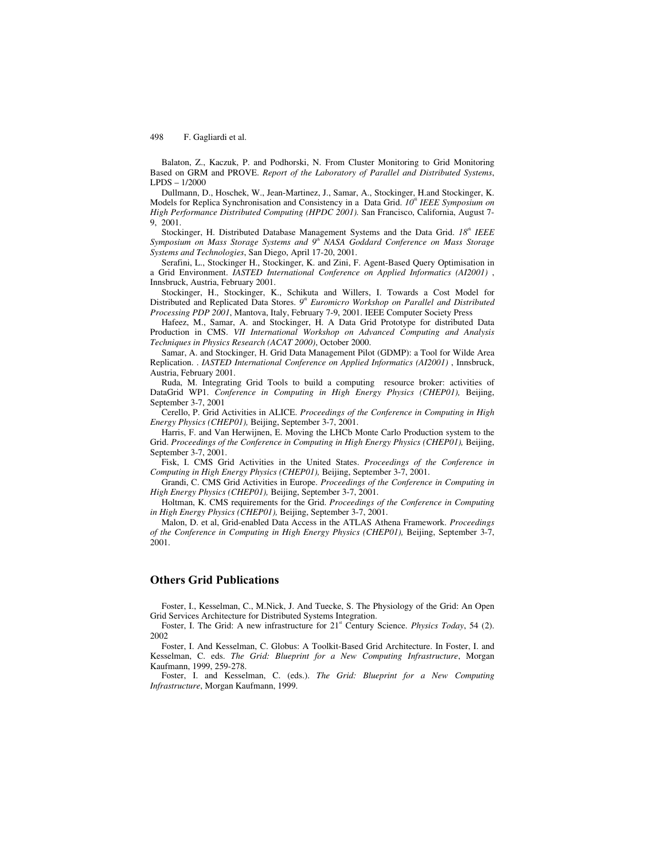Balaton, Z., Kaczuk, P. and Podhorski, N. From Cluster Monitoring to Grid Monitoring Based on GRM and PROVE. *Report of the Laboratory of Parallel and Distributed Systems*, LPDS – 1/2000

Dullmann, D., Hoschek, W., Jean-Martinez, J., Samar, A., Stockinger, H.and Stockinger, K. Models for Replica Synchronisation and Consistency in a Data Grid. *10<sup>th</sup> IEEE Symposium on High Performance Distributed Computing (HPDC 2001).* San Francisco, California, August 7- 9, 2001.

Stockinger, H. Distributed Database Management Systems and the Data Grid. <sup>18th</sup> IEEE *Symposium on Mass Storage Systems and 9<sup>th</sup> NASA Goddard Conference on Mass Storage Systems and Technologies*, San Diego, April 17-20, 2001.

Serafini, L., Stockinger H., Stockinger, K. and Zini, F. Agent-Based Query Optimisation in a Grid Environment. *IASTED International Conference on Applied Informatics (AI2001)* , Innsbruck, Austria, February 2001.

Stockinger, H., Stockinger, K., Schikuta and Willers, I. Towards a Cost Model for Distributed and Replicated Data Stores. 9<sup>th</sup> Euromicro Workshop on Parallel and Distributed *Processing PDP 2001*, Mantova, Italy, February 7-9, 2001. IEEE Computer Society Press

Hafeez, M., Samar, A. and Stockinger, H. A Data Grid Prototype for distributed Data Production in CMS. *VII International Workshop on Advanced Computing and Analysis Techniques in Physics Research (ACAT 2000)*, October 2000.

Samar, A. and Stockinger, H. Grid Data Management Pilot (GDMP): a Tool for Wilde Area Replication. . *IASTED International Conference on Applied Informatics (AI2001)* , Innsbruck, Austria, February 2001.

Ruda, M. Integrating Grid Tools to build a computing resource broker: activities of DataGrid WP1. *Conference in Computing in High Energy Physics (CHEP01),* Beijing, September 3-7, 2001

Cerello, P. Grid Activities in ALICE. *Proceedings of the Conference in Computing in High Energy Physics (CHEP01),* Beijing, September 3-7, 2001.

Harris, F. and Van Herwijnen, E. Moving the LHCb Monte Carlo Production system to the Grid. *Proceedings of the Conference in Computing in High Energy Physics (CHEP01),* Beijing, September 3-7, 2001.

Fisk, I. CMS Grid Activities in the United States. *Proceedings of the Conference in Computing in High Energy Physics (CHEP01),* Beijing, September 3-7, 2001.

Grandi, C. CMS Grid Activities in Europe. *Proceedings of the Conference in Computing in High Energy Physics (CHEP01),* Beijing, September 3-7, 2001.

Holtman, K. CMS requirements for the Grid. *Proceedings of the Conference in Computing in High Energy Physics (CHEP01),* Beijing, September 3-7, 2001.

Malon, D. et al, Grid-enabled Data Access in the ATLAS Athena Framework. *Proceedings of the Conference in Computing in High Energy Physics (CHEP01),* Beijing, September 3-7, 2001.

### **Others Grid Publications**

Foster, I., Kesselman, C., M.Nick, J. And Tuecke, S. The Physiology of the Grid: An Open Grid Services Architecture for Distributed Systems Integration.

Foster, I. The Grid: A new infrastructure for  $21<sup>st</sup>$  Century Science. *Physics Today*, 54 (2). 2002

Foster, I. And Kesselman, C. Globus: A Toolkit-Based Grid Architecture. In Foster, I. and Kesselman, C. eds. *The Grid: Blueprint for a New Computing Infrastructure*, Morgan Kaufmann, 1999, 259-278.

Foster, I. and Kesselman, C. (eds.). *The Grid: Blueprint for a New Computing Infrastructure*, Morgan Kaufmann, 1999.